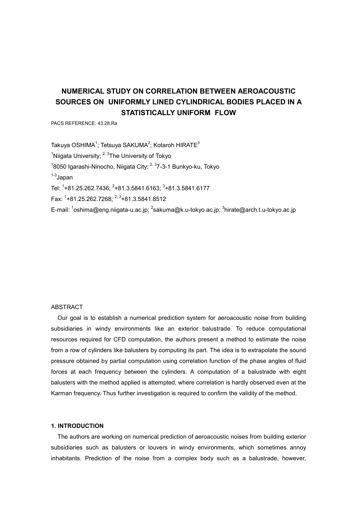# **NUMERICAL STUDY ON CORRELATION BETWEEN AEROACOUSTIC SOURCES ON UNIFORMLY LINED CYLINDRICAL BODIES PLACED IN A STATISTICALLY UNIFORM FLOW**

PACS REFERENCE: 43.28.Ra

Takuya OSHIMA<sup>1</sup>; Tetsuya SAKUMA<sup>2</sup>; Kotaroh HIRATE $^3$ <sup>1</sup>Niigata University;  $2,3$ The University of Tokyo <sup>1</sup>8050 Igarashi-Ninocho, Niigata City; <sup>2, 3</sup>7-3-1 Bunkyo-ku, Tokyo  $1-3$ Japan Tel: <sup>1</sup>+81.25.262.7436; <sup>2</sup>+81.3.5841.6163; <sup>3</sup>+81.3.5841.6177 Fax: 1 +81.25.262.7268; 2, 3+81.3.5841.8512 E-mail: <sup>1</sup>oshima@eng.niigata-u.ac.jp; <sup>2</sup>sakuma@k.u-tokyo.ac.jp; <sup>3</sup>hirate@arch.t.u-tokyo.ac.jp

### ABSTRACT

Our goal is to establish a numerical prediction system for aeroacoustic noise from building subsidiaries in windy environments like an exterior balustrade. To reduce computational resources required for CFD computation, the authors present a method to estimate the noise from a row of cylinders like balusters by computing its part. The idea is to extrapolate the sound pressure obtained by partial computation using correlation function of the phase angles of fluid forces at each frequency between the cylinders. A computation of a balustrade with eight balusters with the method applied is attempted, where correlation is hardly observed even at the Karman frequency. Thus further investigation is required to confirm the validity of the method.

#### **1. INTRODUCTION**

The authors are working on numerical prediction of aeroacoustic noises from building exterior subsidiaries such as balusters or louvers in windy environments, which sometimes annoy inhabitants. Prediction of the noise from a complex body such as a balustrade, however,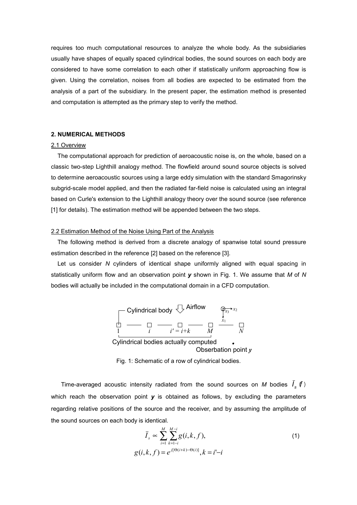requires too much computational resources to analyze the whole body. As the subsidiaries usually have shapes of equally spaced cylindrical bodies, the sound sources on each body are considered to have some correlation to each other if statistically uniform approaching flow is given. Using the correlation, noises from all bodies are expected to be estimated from the analysis of a part of the subsidiary. In the present paper, the estimation method is presented and computation is attempted as the primary step to verify the method.

# **2. NUMERICAL METHODS**

#### 2.1 Overview

The computational approach for prediction of aeroacoustic noise is, on the whole, based on a classic two-step Lighthill analogy method. The flowfield around sound source objects is solved to determine aeroacoustic sources using a large eddy simulation with the standard Smagorinsky subgrid-scale model applied, and then the radiated far-field noise is calculated using an integral based on Curle's extension to the Lighthill analogy theory over the sound source (see reference [1] for details). The estimation method will be appended between the two steps.

#### 2.2 Estimation Method of the Noise Using Part of the Analysis

The following method is derived from a discrete analogy of spanwise total sound pressure estimation described in the reference [2] based on the reference [3].

Let us consider *N* cylinders of identical shape uniformly aligned with equal spacing in statistically uniform flow and an observation point *y* shown in Fig. 1. We assume that *M* of *N* bodies will actually be included in the computational domain in a CFD computation.



Fig. 1: Schematic of a row of cylindrical bodies.

Time-averaged acoustic intensity radiated from the sound sources on *M* bodies  $\bar{I}_s$  (*f*) which reach the observation point **y** is obtained as follows, by excluding the parameters regarding relative positions of the source and the receiver, and by assuming the amplitude of the sound sources on each body is identical.

$$
\bar{I}_s \propto \sum_{i=1}^{M} \sum_{k=1-i}^{M-i} g(i,k,f),
$$
\n
$$
g(i,k,f) = e^{j[\Theta(i+k) - \Theta(i)]}, k = i'-i
$$
\n(1)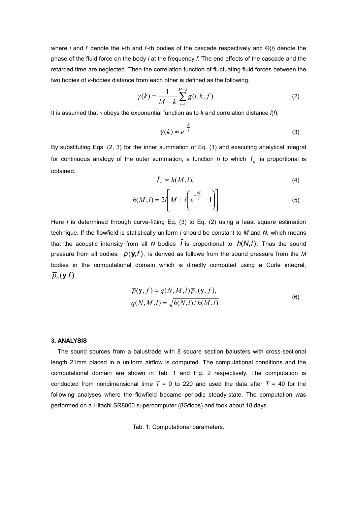where *i* and *i*' denote the *i*-th and *i*'-th bodies of the cascade respectively and Θ(*i*) denote the phase of the fluid force on the body *i* at the frequency *f*. The end effects of the cascade and the retarded time are neglected. Then the correlation function of fluctuating fluid forces between the two bodies of *k*-bodies distance from each other is defined as the following.

$$
\gamma(k) = \frac{1}{M - k} \sum_{i=1}^{M - k} g(i, k, f)
$$
 (2)

It is assumed that γ obeys the exponential function as to *k* and correlation distance *l*(*f*).

$$
\gamma(k) \approx e^{-\frac{k}{l}}
$$
 (3)

By substituting Eqs. (2, 3) for the inner summation of Eq. (1) and executing analytical integral for continuous analogy of the outer summation, a function *h* to which  $\bar{I}_s$  is proportional is obtained.

$$
\bar{I}_s \sim h(M, l),\tag{4}
$$

$$
h(M,l) = 2l \left[ M + l \left( e^{-\frac{M}{l}} - 1 \right) \right]
$$
 (5)

Here *l* is determined through curve-fitting Eq. (3) to Eq. (2) using a least square estimation technique. If the flowfield is statistically uniform *l* should be constant to *M* and *N*, which means that the acoustic intensity from all *N* bodies  $\overline{I}$  is proportional to  $h(N,I)$ . Thus the sound pressure from all bodies,  $\overline{p}(y,f)$ , is derived as follows from the sound pressure from the M bodies in the computational domain which is directly computed using a Curle integral,  $\overline{p}_s(\mathbf{y},f)$ .

$$
\overline{p}(\mathbf{y}, f) = q(N, M, l)\overline{p}_s(\mathbf{y}, f),
$$
  
 
$$
q(N, M, l) = \sqrt{h(N, l)/h(M, l)}
$$
 (6)

### **3. ANALYSIS**

The sound sources from a balustrade with 8 square section balusters with cross-sectional length 21mm placed in a uniform airflow is computed. The computational conditions and the computational domain are shown in Tab. 1 and Fig. 2 respectively. The computation is conducted from nondimensional time  $T = 0$  to 220 and used the data after  $T = 40$  for the following analyses where the flowfield became periodic steady-state. The computation was performed on a Hitachi SR8000 supercomputer (8Gflops) and took about 18 days.

Tab. 1: Computational parameters.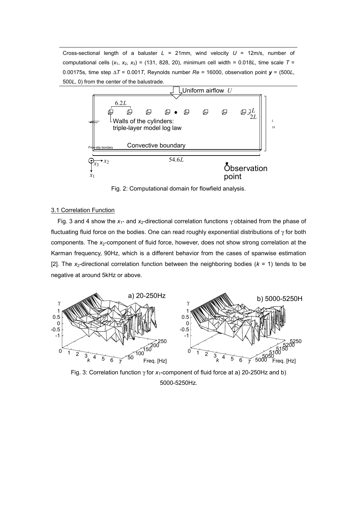Cross-sectional length of a baluster  $L = 21$ mm, wind velocity  $U = 12$ m/s, number of computational cells  $(x_1, x_2, x_3) = (131, 828, 20)$ , minimum cell width = 0.018*L*, time scale  $T =$ 0.00175s, time step ∆*T* = 0.001*T*, Reynolds number *Re* = 16000, observation point *y* = (500*L*, 500*L*, 0) from the center of the balustrade.



Fig. 2: Computational domain for flowfield analysis.

## 3.1 Correlation Function

Fig. 3 and 4 show the  $x_1$ - and  $x_2$ -directional correlation functions  $\gamma$  obtained from the phase of fluctuating fluid force on the bodies. One can read roughly exponential distributions of  $\gamma$  for both components. The *x*<sub>2</sub>-component of fluid force, however, does not show strong correlation at the Karman frequency, 90Hz, which is a different behavior from the cases of spanwise estimation [2]. The  $x_2$ -directional correlation function between the neighboring bodies ( $k = 1$ ) tends to be negative at around 5kHz or above.



Fig. 3: Correlation function γ for *x*1-component of fluid force at a) 20-250Hz and b) 5000-5250Hz.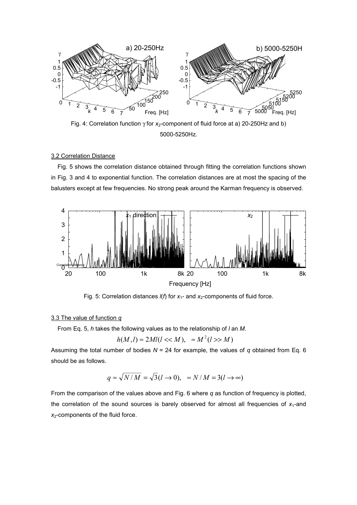

Fig. 4: Correlation function γ for x<sub>2</sub>-component of fluid force at a) 20-250Hz and b) 5000-5250Hz.

#### 3.2 Correlation Distance

Fig. 5 shows the correlation distance obtained through fitting the correlation functions shown in Fig. 3 and 4 to exponential function. The correlation distances are at most the spacing of the balusters except at few frequencies. No strong peak around the Karman frequency is observed.



Fig. 5: Correlation distances  $I(f)$  for  $x_1$ - and  $x_2$ -components of fluid force.

#### 3.3 The value of function *q*

From Eq. 5, *h* takes the following values as to the relationship of *l* an *M*.

$$
h(M, l) \approx 2Ml(l \ll M), \approx M^2(l \gg M)
$$

Assuming the total number of bodies  $N = 24$  for example, the values of  $q$  obtained from Eq. 6 should be as follows.

$$
q \approx \sqrt{N/M} = \sqrt{3}(l \to 0), \approx N/M = 3(l \to \infty)
$$

From the comparison of the values above and Fig. 6 where *q* as function of frequency is plotted, the correlation of the sound sources is barely observed for almost all frequencies of  $x_1$ -and *x*2-components of the fluid force.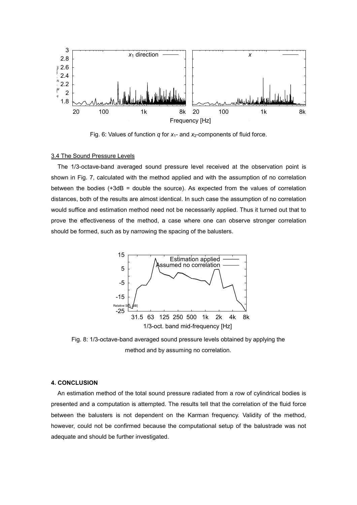

Fig. 6: Values of function  $q$  for  $x_1$ - and  $x_2$ -components of fluid force.

## 3.4 The Sound Pressure Levels

The 1/3-octave-band averaged sound pressure level received at the observation point is shown in Fig. 7, calculated with the method applied and with the assumption of no correlation between the bodies (+3dB = double the source). As expected from the values of correlation distances, both of the results are almost identical. In such case the assumption of no correlation would suffice and estimation method need not be necessarily applied. Thus it turned out that to prove the effectiveness of the method, a case where one can observe stronger correlation should be formed, such as by narrowing the spacing of the balusters.



Fig. 8: 1/3-octave-band averaged sound pressure levels obtained by applying the method and by assuming no correlation.

#### **4. CONCLUSION**

An estimation method of the total sound pressure radiated from a row of cylindrical bodies is presented and a computation is attempted. The results tell that the correlation of the fluid force between the balusters is not dependent on the Karman frequency. Validity of the method, however, could not be confirmed because the computational setup of the balustrade was not adequate and should be further investigated.